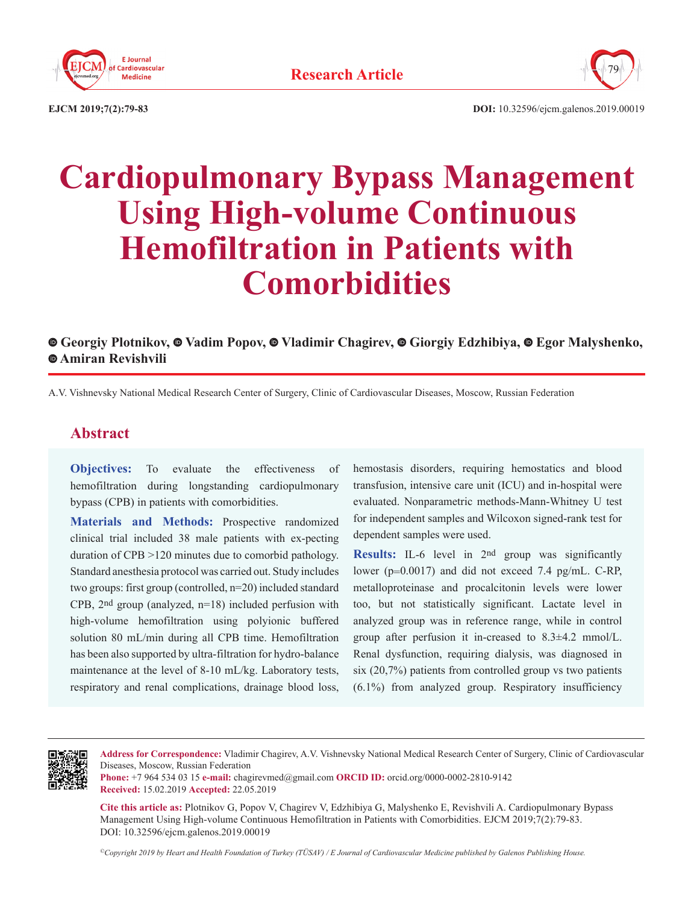



**EJCM 2019;7(2):79-83 DOI:** 10.32596/ejcm.galenos.2019.00019

# **Cardiopulmonary Bypass Management Using High-volume Continuous Hemofiltration in Patients with Comorbidities**

## **Georgiy Plotnikov,Vadim Popov,Vladimir Chagirev,Giorgiy Edzhibiya,Egor Malyshenko, Amiran Revishvili**

A.V. Vishnevsky National Medical Research Center of Surgery, Clinic of Cardiovascular Diseases, Moscow, Russian Federation

# **Abstract**

**Objectives:** To evaluate the effectiveness of hemofiltration during longstanding cardiopulmonary bypass (CPB) in patients with comorbidities.

**Materials and Methods:** Prospective randomized clinical trial included 38 male patients with ex-pecting duration of CPB >120 minutes due to comorbid pathology. Standard anesthesia protocol was carried out. Study includes two groups: first group (controlled, n=20) included standard CPB, 2nd group (analyzed, n=18) included perfusion with high-volume hemofiltration using polyionic buffered solution 80 mL/min during all CPB time. Hemofiltration has been also supported by ultra-filtration for hydro-balance maintenance at the level of 8-10 mL/kg. Laboratory tests, respiratory and renal complications, drainage blood loss,

hemostasis disorders, requiring hemostatics and blood transfusion, intensive care unit (ICU) and in-hospital were evaluated. Nonparametric methods-Mann-Whitney U test for independent samples and Wilcoxon signed-rank test for dependent samples were used.

**Results:** IL-6 level in 2nd group was significantly lower (p=0.0017) and did not exceed 7.4 pg/mL. C-RP, metalloproteinase and procalcitonin levels were lower too, but not statistically significant. Lactate level in analyzed group was in reference range, while in control group after perfusion it in-creased to 8.3±4.2 mmol/L. Renal dysfunction, requiring dialysis, was diagnosed in six (20,7%) patients from controlled group vs two patients (6.1%) from analyzed group. Respiratory insufficiency



**Address for Correspondence:** Vladimir Chagirev, A.V. Vishnevsky National Medical Research Center of Surgery, Clinic of Cardiovascular Diseases, Moscow, Russian Federation

**Phone:** +7 964 534 03 15 **e-mail:** chagirevmed@gmail.com **ORCID ID:** orcid.org/0000-0002-2810-9142 **Received:** 15.02.2019 **Accepted:** 22.05.2019

**Cite this article as:** Plotnikov G, Popov V, Chagirev V, Edzhibiya G, Malyshenko E, Revishvili A. Cardiopulmonary Bypass Management Using High-volume Continuous Hemofiltration in Patients with Comorbidities. EJCM 2019;7(2):79-83. DOI: 10.32596/ejcm.galenos.2019.00019

*©Copyright 2019 by Heart and Health Foundation of Turkey (TÜSAV) / E Journal of Cardiovascular Medicine published by Galenos Publishing House.*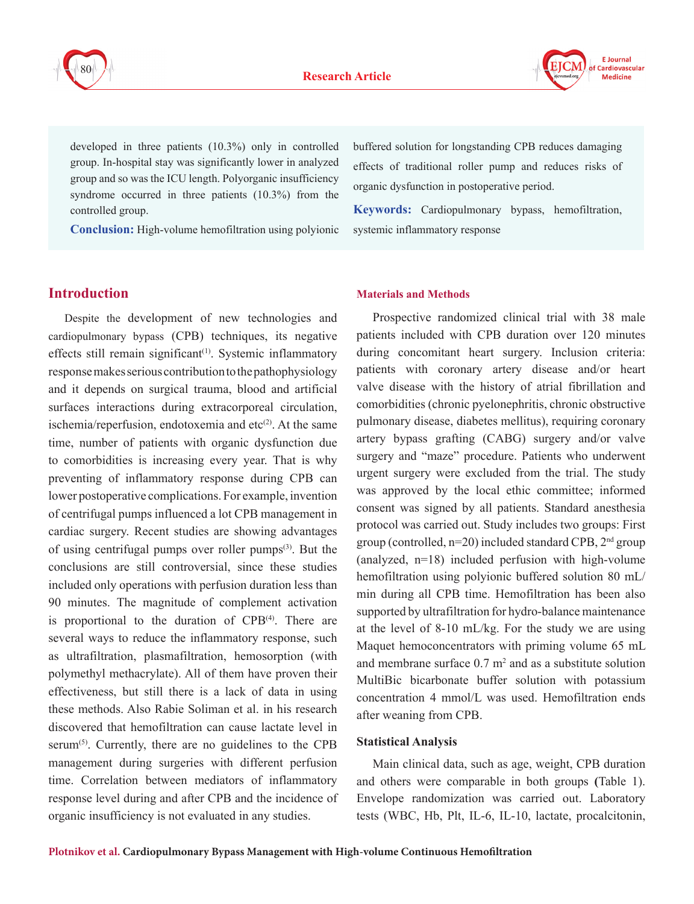



developed in three patients (10.3%) only in controlled group. In-hospital stay was significantly lower in analyzed group and so was the ICU length. Polyorganic insufficiency syndrome occurred in three patients (10.3%) from the controlled group.

**Conclusion:** High-volume hemofiltration using polyionic

buffered solution for longstanding CPB reduces damaging effects of traditional roller pump and reduces risks of organic dysfunction in postoperative period.

**Keywords:** Cardiopulmonary bypass, hemofiltration, systemic inflammatory response

## **Introduction**

Despite the development of new technologies and cardiopulmonary bypass (CPB) techniques, its negative effects still remain significant<sup> $(1)$ </sup>. Systemic inflammatory response makes serious contribution to the pathophysiology and it depends on surgical trauma, blood and artificial surfaces interactions during extracorporeal circulation, ischemia/reperfusion, endotoxemia and etc $(2)$ . At the same time, number of patients with organic dysfunction due to comorbidities is increasing every year. That is why preventing of inflammatory response during CPB can lower postoperative complications. For example, invention of centrifugal pumps influenced a lot CPB management in cardiac surgery. Recent studies are showing advantages of using centrifugal pumps over roller pumps(3). But the conclusions are still controversial, since these studies included only operations with perfusion duration less than 90 minutes. The magnitude of complement activation is proportional to the duration of  $CPB<sup>(4)</sup>$ . There are several ways to reduce the inflammatory response, such as ultrafiltration, plasmafiltration, hemosorption (with polymethyl methacrylate). All of them have proven their effectiveness, but still there is a lack of data in using these methods. Also Rabie Soliman et al. in his research discovered that hemofiltration can cause lactate level in serum<sup> $(5)$ </sup>. Currently, there are no guidelines to the CPB management during surgeries with different perfusion time. Correlation between mediators of inflammatory response level during and after CPB and the incidence of organic insufficiency is not evaluated in any studies.

#### **Materials and Methods**

Prospective randomized clinical trial with 38 male patients included with CPB duration over 120 minutes during concomitant heart surgery. Inclusion criteria: patients with coronary artery disease and/or heart valve disease with the history of atrial fibrillation and comorbidities (chronic pyelonephritis, chronic obstructive pulmonary disease, diabetes mellitus), requiring coronary artery bypass grafting (CABG) surgery and/or valve surgery and "maze" procedure. Patients who underwent urgent surgery were excluded from the trial. The study was approved by the local ethic committee; informed consent was signed by all patients. Standard anesthesia protocol was carried out. Study includes two groups: First group (controlled,  $n=20$ ) included standard CPB,  $2<sup>nd</sup>$  group (analyzed, n=18) included perfusion with high-volume hemofiltration using polyionic buffered solution 80 mL/ min during all CPB time. Hemofiltration has been also supported by ultrafiltration for hydro-balance maintenance at the level of 8-10 mL/kg. For the study we are using Maquet hemoconcentrators with priming volume 65 mL and membrane surface  $0.7 \text{ m}^2$  and as a substitute solution MultiBic bicarbonate buffer solution with potassium concentration 4 mmol/L was used. Hemofiltration ends after weaning from CPB.

#### **Statistical Analysis**

Main clinical data, such as age, weight, CPB duration and others were comparable in both groups **(**Table 1). Envelope randomization was carried out. Laboratory tests (WBC, Hb, Plt, IL-6, IL-10, lactate, procalcitonin,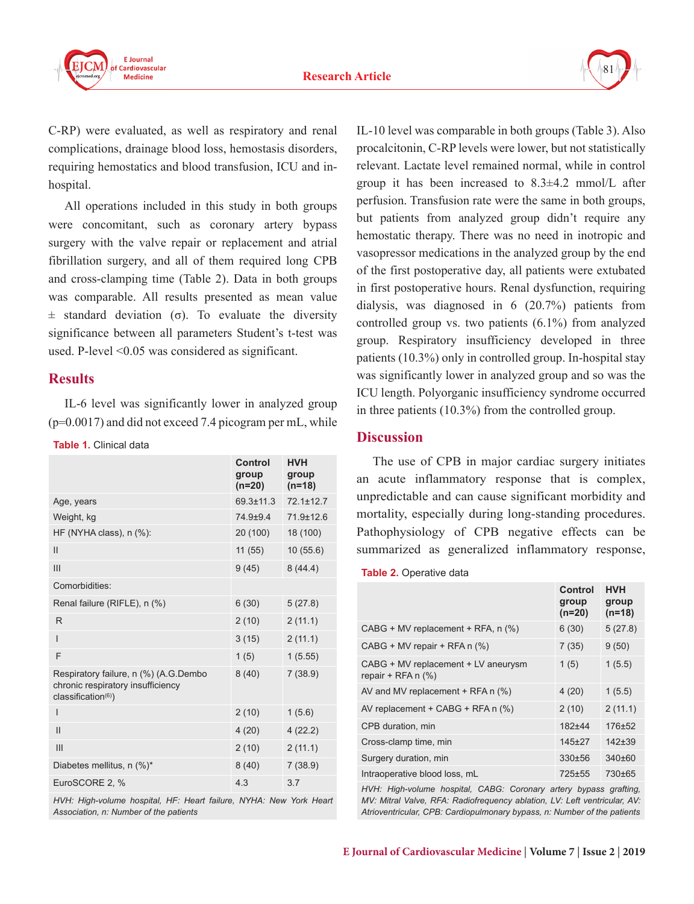



C-RP) were evaluated, as well as respiratory and renal complications, drainage blood loss, hemostasis disorders, requiring hemostatics and blood transfusion, ICU and inhospital.

All operations included in this study in both groups were concomitant, such as coronary artery bypass surgery with the valve repair or replacement and atrial fibrillation surgery, and all of them required long CPB and cross-clamping time (Table 2). Data in both groups was comparable. All results presented as mean value  $\pm$  standard deviation (σ). To evaluate the diversity significance between all parameters Student's t-test was used. P-level <0.05 was considered as significant.

## **Results**

IL-6 level was significantly lower in analyzed group  $(p=0.0017)$  and did not exceed 7.4 picogram per mL, while

**Table 1.** Clinical data

|                                                                                                               | Control<br>group<br>(n=20) | <b>HVH</b><br>group<br>$(n=18)$ |
|---------------------------------------------------------------------------------------------------------------|----------------------------|---------------------------------|
| Age, years                                                                                                    | $69.3 \pm 11.3$            | $72.1 \pm 12.7$                 |
| Weight, kg                                                                                                    | 74.9±9.4                   | 71.9±12.6                       |
| HF (NYHA class), $n$ (%):                                                                                     | 20 (100)                   | 18 (100)                        |
| $\mathsf{II}$                                                                                                 | 11(55)                     | 10(55.6)                        |
| III                                                                                                           | 9(45)                      | 8(44.4)                         |
| Comorbidities:                                                                                                |                            |                                 |
| Renal failure (RIFLE), n (%)                                                                                  | 6(30)                      | 5(27.8)                         |
| R                                                                                                             | 2(10)                      | 2(11.1)                         |
| I                                                                                                             | 3(15)                      | 2(11.1)                         |
| F                                                                                                             | 1(5)                       | 1(5.55)                         |
| Respiratory failure, n (%) (A.G.Dembo<br>chronic respiratory insufficiency<br>classification <sup>(6)</sup> ) | 8(40)                      | 7(38.9)                         |
| I                                                                                                             | 2(10)                      | 1(5.6)                          |
| $\mathbf{I}$                                                                                                  | 4(20)                      | 4(22.2)                         |
| III                                                                                                           | 2(10)                      | 2(11.1)                         |
| Diabetes mellitus, n (%)*                                                                                     | 8(40)                      | 7(38.9)                         |
| EuroSCORE 2, %                                                                                                | 4.3                        | 3.7                             |

HVH: High-volume hospital, HF: Heart failure, NYHA: New York Heart *Association, n: Number of the patients*

IL-10 level was comparable in both groups (Table 3). Also procalcitonin, C-RP levels were lower, but not statistically relevant. Lactate level remained normal, while in control group it has been increased to 8.3±4.2 mmol/L after perfusion. Transfusion rate were the same in both groups, but patients from analyzed group didn't require any hemostatic therapy. There was no need in inotropic and vasopressor medications in the analyzed group by the end of the first postoperative day, all patients were extubated in first postoperative hours. Renal dysfunction, requiring dialysis, was diagnosed in 6 (20.7%) patients from controlled group vs. two patients (6.1%) from analyzed group. Respiratory insufficiency developed in three patients (10.3%) only in controlled group. In-hospital stay was significantly lower in analyzed group and so was the ICU length. Polyorganic insufficiency syndrome occurred in three patients (10.3%) from the controlled group.

## **Discussion**

The use of CPB in major cardiac surgery initiates an acute inflammatory response that is complex, unpredictable and can cause significant morbidity and mortality, especially during long-standing procedures. Pathophysiology of CPB negative effects can be summarized as generalized inflammatory response,

**Table 2.** Operative data

|                                                                | Control<br>group<br>$(n=20)$ | <b>HVH</b><br>group<br>$(n=18)$ |
|----------------------------------------------------------------|------------------------------|---------------------------------|
| CABG + MV replacement + RFA, n (%)                             | 6(30)                        | 5(27.8)                         |
| $CABG + MV$ repair + RFA n $(\%)$                              | 7(35)                        | 9(50)                           |
| CABG + MV replacement + LV aneurysm<br>repair + RFA $n$ $(\%)$ | 1(5)                         | 1(5.5)                          |
| AV and MV replacement $+$ RFA n $(\%)$                         | 4(20)                        | 1(5.5)                          |
| AV replacement + CABG + RFA $n$ (%)                            | 2(10)                        | 2(11.1)                         |
| CPB duration, min                                              | $182 + 44$                   | $176 + 52$                      |
| Cross-clamp time, min                                          | $145+27$                     | $142 + 39$                      |
| Surgery duration, min                                          | 330±56                       | 340±60                          |
| Intraoperative blood loss, mL                                  | 725±55                       | 730±65                          |

*HVH: High-volume hospital, CABG: Coronary artery bypass grafting, MV: Mitral Valve, RFA: Radiofrequency ablation, LV: Left ventricular, AV: Atrioventricular, CPB: Cardiopulmonary bypass, n: Number of the patients*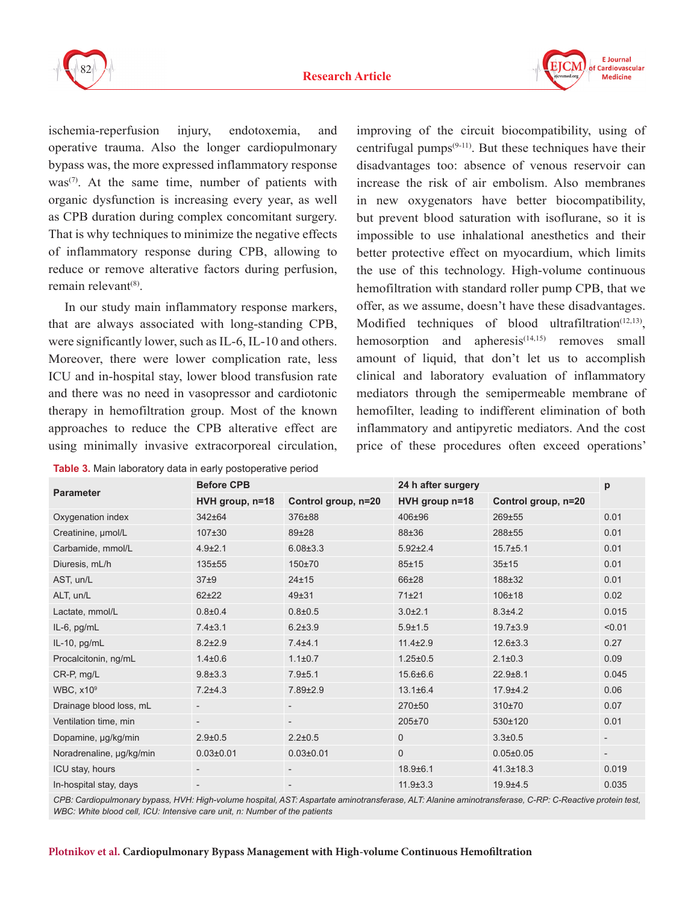



ischemia-reperfusion injury, endotoxemia, and operative trauma. Also the longer cardiopulmonary bypass was, the more expressed inflammatory response  $was^{(7)}$ . At the same time, number of patients with organic dysfunction is increasing every year, as well as CPB duration during complex concomitant surgery. That is why techniques to minimize the negative effects of inflammatory response during CPB, allowing to reduce or remove alterative factors during perfusion,  $remain$  remain relevant $^{(8)}$ .

In our study main inflammatory response markers, that are always associated with long-standing CPB, were significantly lower, such as IL-6, IL-10 and others. Moreover, there were lower complication rate, less ICU and in-hospital stay, lower blood transfusion rate and there was no need in vasopressor and cardiotonic therapy in hemofiltration group. Most of the known approaches to reduce the CPB alterative effect are using minimally invasive extracorporeal circulation,

**Table 3.** Main laboratory data in early postoperative period

improving of the circuit biocompatibility, using of centrifugal pumps $(9-11)$ . But these techniques have their disadvantages too: absence of venous reservoir can increase the risk of air embolism. Also membranes in new oxygenators have better biocompatibility, but prevent blood saturation with isoflurane, so it is impossible to use inhalational anesthetics and their better protective effect on myocardium, which limits the use of this technology. High-volume continuous hemofiltration with standard roller pump CPB, that we offer, as we assume, doesn't have these disadvantages. Modified techniques of blood ultrafiltration $(12,13)$ , hemosorption and apheresis $(14,15)$  removes small amount of liquid, that don't let us to accomplish clinical and laboratory evaluation of inflammatory mediators through the semipermeable membrane of hemofilter, leading to indifferent elimination of both inflammatory and antipyretic mediators. And the cost price of these procedures often exceed operations'

| <b>Parameter</b>            | <b>Before CPB</b>        |                          | 24 h after surgery |                     | р                        |
|-----------------------------|--------------------------|--------------------------|--------------------|---------------------|--------------------------|
|                             | HVH group, n=18          | Control group, n=20      | $HVH$ group $n=18$ | Control group, n=20 |                          |
| Oxygenation index           | 342±64                   | 376±88                   | 406±96             | 269±55              | 0.01                     |
| Creatinine, µmol/L          | $107 + 30$               | 89±28                    | 88±36              | 288±55              | 0.01                     |
| Carbamide, mmol/L           | $4.9 \pm 2.1$            | $6.08 \pm 3.3$           | $5.92 \pm 2.4$     | $15.7 \pm 5.1$      | 0.01                     |
| Diuresis, mL/h              | 135±55                   | 150±70                   | $85 + 15$          | 35±15               | 0.01                     |
| AST, un/L                   | 37 <sub>±9</sub>         | $24 + 15$                | 66±28              | 188±32              | 0.01                     |
| ALT, un/L                   | $62 + 22$                | $49 + 31$                | 71±21              | $106 + 18$          | 0.02                     |
| Lactate, mmol/L             | $0.8 + 0.4$              | $0.8 + 0.5$              | $3.0 + 2.1$        | $8.3 + 4.2$         | 0.015                    |
| IL-6, pg/mL                 | $7.4 \pm 3.1$            | $6.2{\pm}3.9$            | $5.9 \pm 1.5$      | $19.7 \pm 3.9$      | < 0.01                   |
| IL-10, pg/mL                | $8.2 \pm 2.9$            | $7.4 + 4.1$              | $11.4 \pm 2.9$     | $12.6 \pm 3.3$      | 0.27                     |
| Procalcitonin, ng/mL        | $1.4 + 0.6$              | $1.1 \pm 0.7$            | $1.25 \pm 0.5$     | $2.1 \pm 0.3$       | 0.09                     |
| CR-P, mg/L                  | $9.8 \pm 3.3$            | $7.9 + 5.1$              | 15.6±6.6           | $22.9 + 8.1$        | 0.045                    |
| <b>WBC, x10<sup>9</sup></b> | $7.2 + 4.3$              | 7.89±2.9                 | $13.1 \pm 6.4$     | $17.9 + 4.2$        | 0.06                     |
| Drainage blood loss, mL     | $\overline{\phantom{a}}$ | $\overline{\phantom{a}}$ | 270±50             | 310±70              | 0.07                     |
| Ventilation time, min       | $\overline{\phantom{a}}$ | $\overline{\phantom{a}}$ | 205±70             | 530±120             | 0.01                     |
| Dopamine, µg/kg/min         | $2.9 \pm 0.5$            | $2.2 \pm 0.5$            | $\mathbf 0$        | $3.3 \pm 0.5$       | $\overline{\phantom{a}}$ |
| Noradrenaline, µg/kg/min    | $0.03 \pm 0.01$          | $0.03 \pm 0.01$          | $\mathbf 0$        | $0.05 \pm 0.05$     | $\overline{\phantom{a}}$ |
| ICU stay, hours             | $\overline{\phantom{a}}$ | $\overline{\phantom{a}}$ | $18.9 \pm 6.1$     | $41.3 \pm 18.3$     | 0.019                    |
| In-hospital stay, days      | $\overline{\phantom{a}}$ | $\overline{\phantom{a}}$ | $11.9 \pm 3.3$     | $19.9 + 4.5$        | 0.035                    |

*CPB: Cardiopulmonary bypass, HVH: High-volume hospital, AST: Aspartate aminotransferase, ALT: Alanine aminotransferase, C-RP: C-Reactive protein test, WBC: White blood cell, ICU: Intensive care unit, n: Number of the patients*